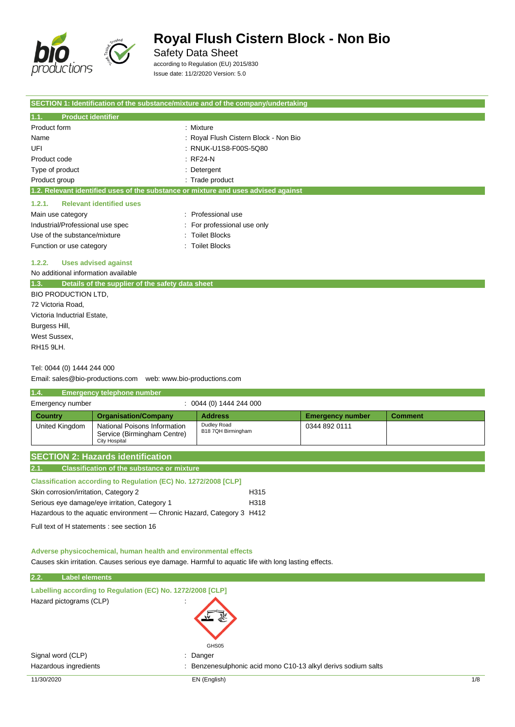

Safety Data Sheet

according to Regulation (EU) 2015/830 Issue date: 11/2/2020 Version: 5.0

| SECTION 1: Identification of the substance/mixture and of the company/undertaking  |                                       |  |
|------------------------------------------------------------------------------------|---------------------------------------|--|
| 1.1.<br><b>Product identifier</b>                                                  |                                       |  |
| Product form                                                                       | : Mixture                             |  |
| Name                                                                               | : Royal Flush Cistern Block - Non Bio |  |
| UFI                                                                                | : RNUK-U1S8-F00S-5Q80                 |  |
| Product code                                                                       | $:$ RF24-N                            |  |
| Type of product                                                                    | : Detergent                           |  |
| Product group                                                                      | : Trade product                       |  |
| 1.2. Relevant identified uses of the substance or mixture and uses advised against |                                       |  |
| <b>Relevant identified uses</b><br>1.2.1.                                          |                                       |  |
| Main use category                                                                  | Professional use<br>$\sim$            |  |
| Industrial/Professional use spec                                                   | : For professional use only           |  |
| Use of the substance/mixture                                                       | : Toilet Blocks                       |  |
| Function or use category                                                           | <b>Toilet Blocks</b>                  |  |

## **1.2.2. Uses advised against**

No additional information available

| 1.3.                        | Details of the supplier of the safety data sheet |
|-----------------------------|--------------------------------------------------|
| <b>BIO PRODUCTION LTD.</b>  |                                                  |
| 72 Victoria Road,           |                                                  |
| Victoria Inductrial Estate, |                                                  |
| Burgess Hill,               |                                                  |
| West Sussex,                |                                                  |
| RH15 9LH.                   |                                                  |
|                             |                                                  |

### Tel: 0044 (0) 1444 244 000

Email: sales@bio-productions.com web: www.bio-productions.com

| 1.4.                                     | <b>Emergency telephone number</b>                                            |                                   |                         |                |
|------------------------------------------|------------------------------------------------------------------------------|-----------------------------------|-------------------------|----------------|
| Emergency number                         |                                                                              | 0044 (0) 1444 244 000             |                         |                |
| <b>Country</b>                           | <b>Organisation/Company</b>                                                  | <b>Address</b>                    | <b>Emergency number</b> | <b>Comment</b> |
| United Kingdom                           | National Poisons Information<br>Service (Birmingham Centre)<br>City Hospital | Dudley Road<br>B18 7QH Birmingham | 0344 892 0111           |                |
| <b>SECTION 2: Hazards identification</b> |                                                                              |                                   |                         |                |

# **2.1. Classification of the substance or mixture**

| <b>Classification according to Regulation (EC) No. 1272/2008 [CLP]</b> |                  |
|------------------------------------------------------------------------|------------------|
| Skin corrosion/irritation, Category 2                                  | H <sub>315</sub> |
| Serious eye damage/eye irritation, Category 1                          | H318             |
| Hazardous to the aguatic environment — Chronic Hazard, Category 3 H412 |                  |

Full text of H statements : see section 16

#### **Adverse physicochemical, human health and environmental effects**

Causes skin irritation. Causes serious eye damage. Harmful to aquatic life with long lasting effects.

| 2.2.<br><b>Label elements</b>                              |                                                                          |     |
|------------------------------------------------------------|--------------------------------------------------------------------------|-----|
| Labelling according to Regulation (EC) No. 1272/2008 [CLP] |                                                                          |     |
| Hazard pictograms (CLP)                                    | $\cdot$<br>GHS05                                                         |     |
| Signal word (CLP)                                          | : Danger                                                                 |     |
| Hazardous ingredients                                      | Benzenesulphonic acid mono C10-13 alkyl derivs sodium salts<br>$\bullet$ |     |
| 11/30/2020                                                 | EN (English)                                                             | 1/8 |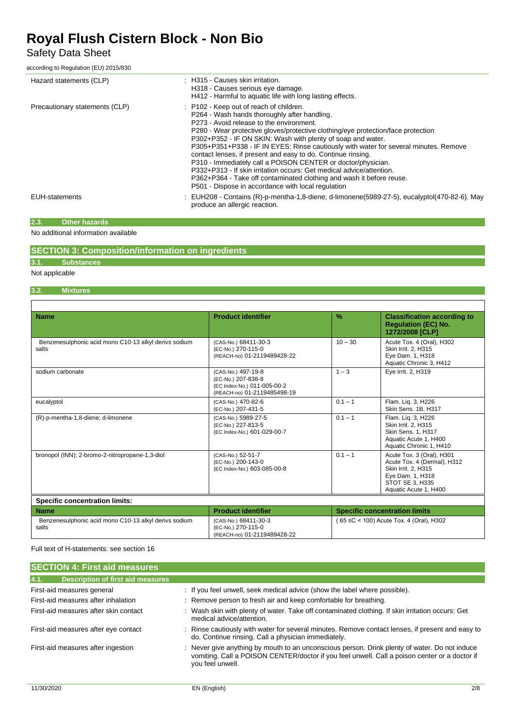# Safety Data Sheet

according to Regulation (EU) 2015/830

| Hazard statements (CLP)        | : H315 - Causes skin irritation.<br>H318 - Causes serious eye damage.<br>H412 - Harmful to aquatic life with long lasting effects.                                                                                                                                                                                                                                                                                                                                                                                                                                                                                                                                                                                   |
|--------------------------------|----------------------------------------------------------------------------------------------------------------------------------------------------------------------------------------------------------------------------------------------------------------------------------------------------------------------------------------------------------------------------------------------------------------------------------------------------------------------------------------------------------------------------------------------------------------------------------------------------------------------------------------------------------------------------------------------------------------------|
| Precautionary statements (CLP) | : P102 - Keep out of reach of children.<br>P264 - Wash hands thoroughly after handling.<br>P273 - Avoid release to the environment.<br>P280 - Wear protective gloves/protective clothing/eye protection/face protection<br>P302+P352 - IF ON SKIN: Wash with plenty of soap and water.<br>P305+P351+P338 - IF IN EYES: Rinse cautiously with water for several minutes. Remove<br>contact lenses, if present and easy to do. Continue rinsing.<br>P310 - Immediately call a POISON CENTER or doctor/physician.<br>P332+P313 - If skin irritation occurs: Get medical advice/attention.<br>P362+P364 - Take off contaminated clothing and wash it before reuse.<br>P501 - Dispose in accordance with local regulation |
| <b>EUH-statements</b>          | EUH208 - Contains (R)-p-mentha-1,8-diene; d-limonene(5989-27-5), eucalyptol(470-82-6). May<br>produce an allergic reaction.                                                                                                                                                                                                                                                                                                                                                                                                                                                                                                                                                                                          |

### **2.3. Other hazards**

No additional information available

# **SECTION 3: Composition/information on ingredients**

### **3.1. Substances**

Not applicable

 $\overline{1}$ 

## **3.2. Mixtures**

| <b>Name</b>                                                    | <b>Product identifier</b>                                                                              | $\%$                                    | <b>Classification according to</b><br><b>Requlation (EC) No.</b><br>1272/2008 [CLP]                                                             |  |
|----------------------------------------------------------------|--------------------------------------------------------------------------------------------------------|-----------------------------------------|-------------------------------------------------------------------------------------------------------------------------------------------------|--|
| Benzenesulphonic acid mono C10-13 alkyl derivs sodium<br>salts | (CAS-No.) 68411-30-3<br>(EC-No.) 270-115-0<br>(REACH-no) 01-2119489428-22                              | $10 - 30$                               | Acute Tox. 4 (Oral), H302<br>Skin Irrit. 2, H315<br>Eye Dam. 1, H318<br>Aquatic Chronic 3, H412                                                 |  |
| sodium carbonate                                               | (CAS-No.) 497-19-8<br>(EC-No.) 207-838-8<br>(EC Index-No.) 011-005-00-2<br>(REACH-no) 01-2119485498-19 | $1 - 3$                                 | Eye Irrit. 2, H319                                                                                                                              |  |
| eucalyptol                                                     | (CAS-No.) 470-82-6<br>(EC-No.) 207-431-5                                                               | $0.1 - 1$                               | Flam. Lig. 3, H226<br>Skin Sens. 1B, H317                                                                                                       |  |
| (R)-p-mentha-1,8-diene; d-limonene                             | (CAS-No.) 5989-27-5<br>(EC-No.) 227-813-5<br>(EC Index-No.) 601-029-00-7                               | $0.1 - 1$                               | Flam. Liq. 3, H226<br>Skin Irrit. 2, H315<br><b>Skin Sens. 1. H317</b><br>Aquatic Acute 1, H400<br>Aquatic Chronic 1, H410                      |  |
| bronopol (INN); 2-bromo-2-nitropropane-1,3-diol                | (CAS-No.) 52-51-7<br>(EC-No.) 200-143-0<br>(EC Index-No.) 603-085-00-8                                 | $0.1 - 1$                               | Acute Tox. 3 (Oral), H301<br>Acute Tox. 4 (Dermal), H312<br>Skin Irrit. 2, H315<br>Eye Dam. 1, H318<br>STOT SE 3, H335<br>Aquatic Acute 1, H400 |  |
| <b>Specific concentration limits:</b>                          |                                                                                                        |                                         |                                                                                                                                                 |  |
| <b>Name</b>                                                    | <b>Product identifier</b>                                                                              | <b>Specific concentration limits</b>    |                                                                                                                                                 |  |
| Benzenesulphonic acid mono C10-13 alkyl derivs sodium          | (CAS-No.) 68411-30-3                                                                                   | (65 ≤C < 100) Acute Tox, 4 (Oral), H302 |                                                                                                                                                 |  |

#### Full text of H-statements: see section 16

| <b>SECTION 4: First aid measures</b>             |                                                                                                                                                                                                                    |
|--------------------------------------------------|--------------------------------------------------------------------------------------------------------------------------------------------------------------------------------------------------------------------|
| 4.1.<br><b>Description of first aid measures</b> |                                                                                                                                                                                                                    |
| First-aid measures general                       | : If you feel unwell, seek medical advice (show the label where possible).                                                                                                                                         |
| First-aid measures after inhalation              | : Remove person to fresh air and keep comfortable for breathing.                                                                                                                                                   |
| First-aid measures after skin contact            | : Wash skin with plenty of water. Take off contaminated clothing. If skin irritation occurs: Get<br>medical advice/attention.                                                                                      |
| First-aid measures after eye contact             | : Rinse cautiously with water for several minutes. Remove contact lenses, if present and easy to<br>do. Continue rinsing. Call a physician immediately.                                                            |
| First-aid measures after ingestion               | : Never give anything by mouth to an unconscious person. Drink plenty of water. Do not induce<br>vomiting. Call a POISON CENTER/doctor if you feel unwell. Call a poison center or a doctor if<br>you feel unwell. |

(EC-No.) 270-115-0

(REACH-no) 01-2119489428-22

salts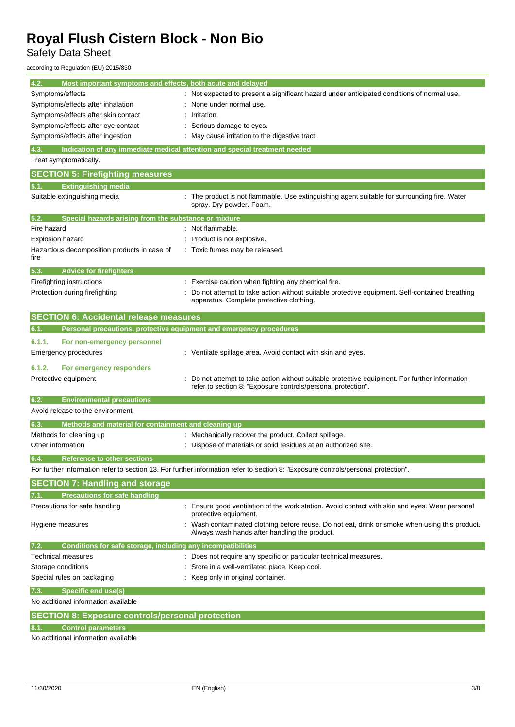Safety Data Sheet

according to Regulation (EU) 2015/830

| 4.2.<br>Most important symptoms and effects, both acute and delayed         |                                                                                                                                                              |
|-----------------------------------------------------------------------------|--------------------------------------------------------------------------------------------------------------------------------------------------------------|
| Symptoms/effects                                                            | Not expected to present a significant hazard under anticipated conditions of normal use.                                                                     |
| Symptoms/effects after inhalation                                           | None under normal use.                                                                                                                                       |
| Symptoms/effects after skin contact                                         | Irritation.                                                                                                                                                  |
| Symptoms/effects after eye contact                                          | Serious damage to eyes.                                                                                                                                      |
| Symptoms/effects after ingestion                                            | May cause irritation to the digestive tract.                                                                                                                 |
| 4.3.                                                                        | Indication of any immediate medical attention and special treatment needed                                                                                   |
| Treat symptomatically.                                                      |                                                                                                                                                              |
| <b>SECTION 5: Firefighting measures</b>                                     |                                                                                                                                                              |
| <b>Extinguishing media</b>                                                  |                                                                                                                                                              |
| Suitable extinguishing media                                                | The product is not flammable. Use extinguishing agent suitable for surrounding fire. Water<br>spray. Dry powder. Foam.                                       |
| Special hazards arising from the substance or mixture<br>5.2.               |                                                                                                                                                              |
| Fire hazard                                                                 | Not flammable.                                                                                                                                               |
| <b>Explosion hazard</b>                                                     | Product is not explosive.                                                                                                                                    |
| Hazardous decomposition products in case of<br>fire                         | Toxic fumes may be released.                                                                                                                                 |
| <b>Advice for firefighters</b><br>5.3.                                      |                                                                                                                                                              |
| Firefighting instructions                                                   | Exercise caution when fighting any chemical fire.                                                                                                            |
| Protection during firefighting                                              | Do not attempt to take action without suitable protective equipment. Self-contained breathing<br>apparatus. Complete protective clothing.                    |
| <b>SECTION 6: Accidental release measures</b>                               |                                                                                                                                                              |
| Personal precautions, protective equipment and emergency procedures<br>6.1. |                                                                                                                                                              |
| 6.1.1.<br>For non-emergency personnel                                       |                                                                                                                                                              |
| Emergency procedures                                                        | : Ventilate spillage area. Avoid contact with skin and eyes.                                                                                                 |
|                                                                             |                                                                                                                                                              |
| 6.1.2.<br>For emergency responders<br>Protective equipment                  | Do not attempt to take action without suitable protective equipment. For further information<br>refer to section 8: "Exposure controls/personal protection". |
| 6.2.<br><b>Environmental precautions</b>                                    |                                                                                                                                                              |
| Avoid release to the environment.                                           |                                                                                                                                                              |
| Methods and material for containment and cleaning up<br>6.3.                |                                                                                                                                                              |
| Methods for cleaning up                                                     | Mechanically recover the product. Collect spillage.                                                                                                          |
| Other information                                                           | : Dispose of materials or solid residues at an authorized site.                                                                                              |
| 6.4.<br><b>Reference to other sections</b>                                  |                                                                                                                                                              |
|                                                                             | For further information refer to section 13. For further information refer to section 8: "Exposure controls/personal protection".                            |
| <b>SECTION 7: Handling and storage</b>                                      |                                                                                                                                                              |
| <b>Precautions for safe handling</b>                                        |                                                                                                                                                              |
| Precautions for safe handling                                               | Ensure good ventilation of the work station. Avoid contact with skin and eyes. Wear personal<br>protective equipment.                                        |
| Hygiene measures                                                            | Wash contaminated clothing before reuse. Do not eat, drink or smoke when using this product.<br>Always wash hands after handling the product.                |
| Conditions for safe storage, including any incompatibilities<br>7.2.        |                                                                                                                                                              |
| Technical measures                                                          | : Does not require any specific or particular technical measures.                                                                                            |
| Storage conditions                                                          | Store in a well-ventilated place. Keep cool.                                                                                                                 |
| Special rules on packaging                                                  | Keep only in original container.                                                                                                                             |
| <b>Specific end use(s)</b><br>7.3.                                          |                                                                                                                                                              |
| No additional information available                                         |                                                                                                                                                              |
| <b>SECTION 8: Exposure controls/personal protection</b>                     |                                                                                                                                                              |
| <b>Control parameters</b>                                                   |                                                                                                                                                              |
|                                                                             |                                                                                                                                                              |

No additional information available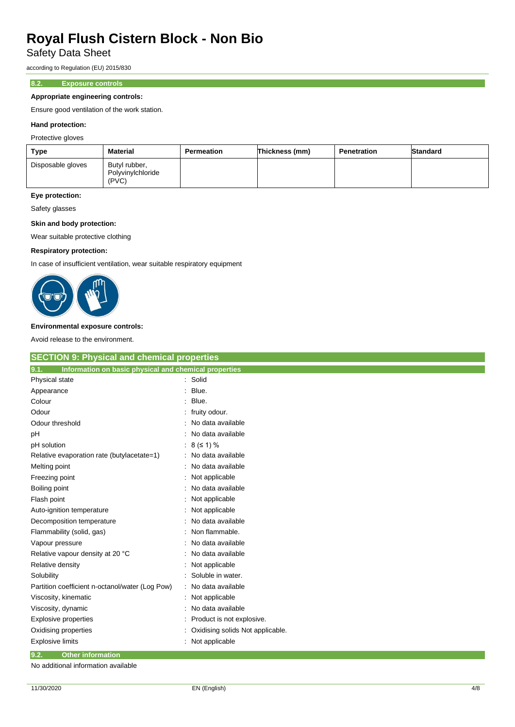Safety Data Sheet

according to Regulation (EU) 2015/830

## **8.2. Exposure controls**

#### **Appropriate engineering controls:**

Ensure good ventilation of the work station.

#### **Hand protection:**

Protective gloves

| Type              | <b>Material</b>                             | Permeation | Thickness (mm) | Penetration | <b>Standard</b> |
|-------------------|---------------------------------------------|------------|----------------|-------------|-----------------|
| Disposable gloves | Butyl rubber,<br>Polyvinylchloride<br>(PVC) |            |                |             |                 |

# **Eye protection:**

Safety glasses

### **Skin and body protection:**

Wear suitable protective clothing

### **Respiratory protection:**

In case of insufficient ventilation, wear suitable respiratory equipment



#### **Environmental exposure controls:**

Avoid release to the environment.

| <b>SECTION 9: Physical and chemical properties</b>            |                                  |
|---------------------------------------------------------------|----------------------------------|
| Information on basic physical and chemical properties<br>9.1. |                                  |
| Physical state                                                | : Solid                          |
| Appearance                                                    | Blue.                            |
| Colour                                                        | Blue.                            |
| Odour                                                         | fruity odour.                    |
| Odour threshold                                               | No data available                |
| рH                                                            | No data available                |
| pH solution                                                   | 8 (51) %                         |
| Relative evaporation rate (butylacetate=1)                    | No data available                |
| Melting point                                                 | No data available                |
| Freezing point                                                | Not applicable                   |
| Boiling point                                                 | No data available                |
| Flash point                                                   | Not applicable                   |
| Auto-ignition temperature                                     | Not applicable                   |
| Decomposition temperature                                     | No data available                |
| Flammability (solid, gas)                                     | Non flammable.                   |
| Vapour pressure                                               | No data available                |
| Relative vapour density at 20 °C                              | No data available                |
| Relative density                                              | Not applicable                   |
| Solubility                                                    | Soluble in water.                |
| Partition coefficient n-octanol/water (Log Pow)               | No data available                |
| Viscosity, kinematic                                          | Not applicable                   |
| Viscosity, dynamic                                            | No data available                |
| <b>Explosive properties</b>                                   | Product is not explosive.        |
| Oxidising properties                                          | Oxidising solids Not applicable. |
| <b>Explosive limits</b>                                       | Not applicable                   |
| 9.2.<br><b>Other information</b>                              |                                  |

No additional information available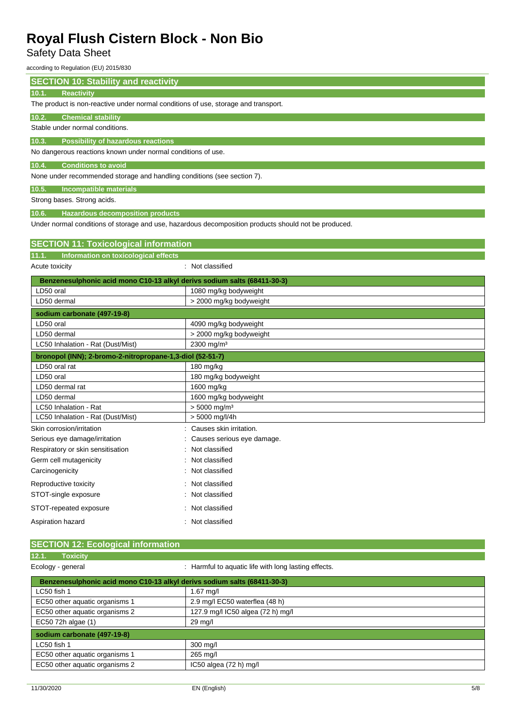# Safety Data Sheet

according to Regulation (EU) 2015/830

| <b>SECTION 10: Stability and reactivity</b>                              |                                                                                                      |  |  |
|--------------------------------------------------------------------------|------------------------------------------------------------------------------------------------------|--|--|
| Reactivity<br>10.1.                                                      |                                                                                                      |  |  |
|                                                                          | The product is non-reactive under normal conditions of use, storage and transport.                   |  |  |
| 10.2.<br><b>Chemical stability</b>                                       |                                                                                                      |  |  |
| Stable under normal conditions.                                          |                                                                                                      |  |  |
| <b>Possibility of hazardous reactions</b><br>10.3.                       |                                                                                                      |  |  |
| No dangerous reactions known under normal conditions of use.             |                                                                                                      |  |  |
| <b>Conditions to avoid</b><br>10.4.                                      |                                                                                                      |  |  |
| None under recommended storage and handling conditions (see section 7).  |                                                                                                      |  |  |
| 10.5.<br>Incompatible materials                                          |                                                                                                      |  |  |
| Strong bases. Strong acids.                                              |                                                                                                      |  |  |
| 10.6.<br><b>Hazardous decomposition products</b>                         |                                                                                                      |  |  |
|                                                                          | Under normal conditions of storage and use, hazardous decomposition products should not be produced. |  |  |
| <b>SECTION 11: Toxicological information</b>                             |                                                                                                      |  |  |
| 11.1. Information on toxicological effects                               |                                                                                                      |  |  |
| Acute toxicity                                                           | : Not classified                                                                                     |  |  |
| Benzenesulphonic acid mono C10-13 alkyl derivs sodium salts (68411-30-3) |                                                                                                      |  |  |
| LD50 oral                                                                | 1080 mg/kg bodyweight                                                                                |  |  |
| LD50 dermal                                                              | > 2000 mg/kg bodyweight                                                                              |  |  |
| sodium carbonate (497-19-8)                                              |                                                                                                      |  |  |
| LD50 oral                                                                | 4090 mg/kg bodyweight                                                                                |  |  |
| LD50 dermal                                                              | > 2000 mg/kg bodyweight                                                                              |  |  |
| LC50 Inhalation - Rat (Dust/Mist)                                        | 2300 mg/m <sup>3</sup>                                                                               |  |  |
| bronopol (INN); 2-bromo-2-nitropropane-1,3-diol (52-51-7)                |                                                                                                      |  |  |
| LD50 oral rat                                                            | 180 mg/kg                                                                                            |  |  |
| LD50 oral                                                                | 180 mg/kg bodyweight                                                                                 |  |  |
| LD50 dermal rat                                                          | 1600 mg/kg                                                                                           |  |  |
| LD50 dermal                                                              | 1600 mg/kg bodyweight                                                                                |  |  |
| LC50 Inhalation - Rat                                                    | $> 5000$ mg/m <sup>3</sup>                                                                           |  |  |
| LC50 Inhalation - Rat (Dust/Mist)                                        | $> 5000$ mg/l/4h                                                                                     |  |  |
| Skin corrosion/irritation                                                | : Causes skin irritation.                                                                            |  |  |
| Serious eye damage/irritation                                            | Causes serious eye damage.                                                                           |  |  |
| Respiratory or skin sensitisation                                        | Not classified                                                                                       |  |  |
| Germ cell mutagenicity                                                   | Not classified                                                                                       |  |  |
| Carcinogenicity                                                          | : Not classified                                                                                     |  |  |
| Reproductive toxicity                                                    | : Not classified                                                                                     |  |  |
| STOT-single exposure                                                     | : Not classified                                                                                     |  |  |
| STOT-repeated exposure                                                   | : Not classified                                                                                     |  |  |
| Aspiration hazard                                                        | : Not classified                                                                                     |  |  |

|                                                                          | <b>SECTION 12: Ecological information</b> |                                                      |  |  |
|--------------------------------------------------------------------------|-------------------------------------------|------------------------------------------------------|--|--|
| 12.1.                                                                    | <b>Toxicity</b>                           |                                                      |  |  |
| Ecology - general                                                        |                                           | : Harmful to aquatic life with long lasting effects. |  |  |
| Benzenesulphonic acid mono C10-13 alkyl derivs sodium salts (68411-30-3) |                                           |                                                      |  |  |

| LC50 fish 1                    | $1.67$ mg/l                       |  |
|--------------------------------|-----------------------------------|--|
| EC50 other aquatic organisms 1 | 2.9 mg/l EC50 waterflea (48 h)    |  |
| EC50 other aquatic organisms 2 | 127.9 mg/l IC50 algea (72 h) mg/l |  |
| EC50 72h algae (1)             | 29 mg/l                           |  |
| sodium carbonate (497-19-8)    |                                   |  |
|                                |                                   |  |
| LC50 fish 1                    | 300 mg/l                          |  |
| EC50 other aquatic organisms 1 | 265 mg/l                          |  |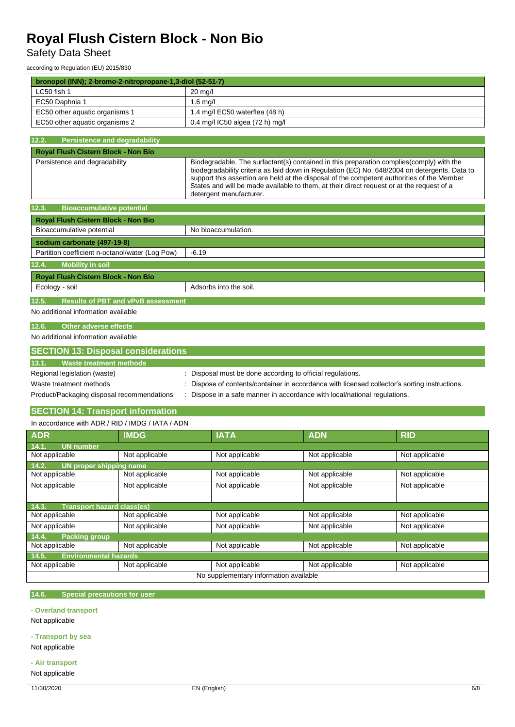Safety Data Sheet

according to Regulation (EU) 2015/830

| bronopol (INN); 2-bromo-2-nitropropane-1,3-diol (52-51-7) |                                                                                              |                                                                                                                                                                                                                                                                                                                                                                                                                  |                                 |                |                |  |
|-----------------------------------------------------------|----------------------------------------------------------------------------------------------|------------------------------------------------------------------------------------------------------------------------------------------------------------------------------------------------------------------------------------------------------------------------------------------------------------------------------------------------------------------------------------------------------------------|---------------------------------|----------------|----------------|--|
| LC50 fish 1                                               |                                                                                              | 20 mg/l                                                                                                                                                                                                                                                                                                                                                                                                          |                                 |                |                |  |
| EC50 Daphnia 1                                            |                                                                                              | $1.6$ mg/                                                                                                                                                                                                                                                                                                                                                                                                        |                                 |                |                |  |
| EC50 other aquatic organisms 1                            |                                                                                              | 1.4 mg/l EC50 waterflea (48 h)                                                                                                                                                                                                                                                                                                                                                                                   |                                 |                |                |  |
| EC50 other aquatic organisms 2                            |                                                                                              |                                                                                                                                                                                                                                                                                                                                                                                                                  | 0.4 mg/l IC50 algea (72 h) mg/l |                |                |  |
|                                                           |                                                                                              |                                                                                                                                                                                                                                                                                                                                                                                                                  |                                 |                |                |  |
| 12.2.<br><b>Persistence and degradability</b>             |                                                                                              |                                                                                                                                                                                                                                                                                                                                                                                                                  |                                 |                |                |  |
| Royal Flush Cistern Block - Non Bio                       |                                                                                              |                                                                                                                                                                                                                                                                                                                                                                                                                  |                                 |                |                |  |
| Persistence and degradability                             |                                                                                              | Biodegradable. The surfactant(s) contained in this preparation complies (comply) with the<br>biodegradability criteria as laid down in Regulation (EC) No. 648/2004 on detergents. Data to<br>support this assertion are held at the disposal of the competent authorities of the Member<br>States and will be made available to them, at their direct request or at the request of a<br>detergent manufacturer. |                                 |                |                |  |
| 12.3.<br><b>Bioaccumulative potential</b>                 |                                                                                              |                                                                                                                                                                                                                                                                                                                                                                                                                  |                                 |                |                |  |
| Royal Flush Cistern Block - Non Bio                       |                                                                                              |                                                                                                                                                                                                                                                                                                                                                                                                                  |                                 |                |                |  |
| Bioaccumulative potential                                 |                                                                                              |                                                                                                                                                                                                                                                                                                                                                                                                                  | No bioaccumulation.             |                |                |  |
| sodium carbonate (497-19-8)                               |                                                                                              |                                                                                                                                                                                                                                                                                                                                                                                                                  |                                 |                |                |  |
| Partition coefficient n-octanol/water (Log Pow)           |                                                                                              | $-6.19$                                                                                                                                                                                                                                                                                                                                                                                                          |                                 |                |                |  |
| 12.4.<br><b>Mobility in soil</b>                          |                                                                                              |                                                                                                                                                                                                                                                                                                                                                                                                                  |                                 |                |                |  |
| <b>Royal Flush Cistern Block - Non Bio</b>                |                                                                                              |                                                                                                                                                                                                                                                                                                                                                                                                                  |                                 |                |                |  |
| Ecology - soil                                            |                                                                                              |                                                                                                                                                                                                                                                                                                                                                                                                                  | Adsorbs into the soil.          |                |                |  |
|                                                           |                                                                                              |                                                                                                                                                                                                                                                                                                                                                                                                                  |                                 |                |                |  |
| 12.5.                                                     | <b>Results of PBT and vPvB assessment</b>                                                    |                                                                                                                                                                                                                                                                                                                                                                                                                  |                                 |                |                |  |
| No additional information available                       |                                                                                              |                                                                                                                                                                                                                                                                                                                                                                                                                  |                                 |                |                |  |
| <b>Other adverse effects</b><br>12.6.                     |                                                                                              |                                                                                                                                                                                                                                                                                                                                                                                                                  |                                 |                |                |  |
| No additional information available                       |                                                                                              |                                                                                                                                                                                                                                                                                                                                                                                                                  |                                 |                |                |  |
| <b>SECTION 13: Disposal considerations</b>                |                                                                                              |                                                                                                                                                                                                                                                                                                                                                                                                                  |                                 |                |                |  |
| <b>Waste treatment methods</b><br>13.1.                   |                                                                                              |                                                                                                                                                                                                                                                                                                                                                                                                                  |                                 |                |                |  |
| Regional legislation (waste)                              |                                                                                              |                                                                                                                                                                                                                                                                                                                                                                                                                  |                                 |                |                |  |
| Waste treatment methods                                   |                                                                                              | Disposal must be done according to official regulations.                                                                                                                                                                                                                                                                                                                                                         |                                 |                |                |  |
| Product/Packaging disposal recommendations                |                                                                                              | Dispose of contents/container in accordance with licensed collector's sorting instructions.<br>Dispose in a safe manner in accordance with local/national regulations.                                                                                                                                                                                                                                           |                                 |                |                |  |
|                                                           |                                                                                              |                                                                                                                                                                                                                                                                                                                                                                                                                  |                                 |                |                |  |
| <b>SECTION 14: Transport information</b>                  |                                                                                              |                                                                                                                                                                                                                                                                                                                                                                                                                  |                                 |                |                |  |
| In accordance with ADR / RID / IMDG / IATA / ADN          |                                                                                              |                                                                                                                                                                                                                                                                                                                                                                                                                  |                                 |                |                |  |
| <b>ADR</b>                                                | <b>IMDG</b>                                                                                  |                                                                                                                                                                                                                                                                                                                                                                                                                  | <b>IATA</b>                     | <b>ADN</b>     | <b>RID</b>     |  |
| 14.1.<br><b>UN number</b>                                 |                                                                                              |                                                                                                                                                                                                                                                                                                                                                                                                                  |                                 |                |                |  |
| Not applicable                                            | Not applicable                                                                               |                                                                                                                                                                                                                                                                                                                                                                                                                  | Not applicable                  | Not applicable | Not applicable |  |
| 14.2.<br>UN proper shipping name                          |                                                                                              |                                                                                                                                                                                                                                                                                                                                                                                                                  |                                 |                |                |  |
| Not applicable                                            | Not applicable                                                                               |                                                                                                                                                                                                                                                                                                                                                                                                                  | Not applicable                  | Not applicable | Not applicable |  |
| Not applicable                                            | Not applicable                                                                               |                                                                                                                                                                                                                                                                                                                                                                                                                  | Not applicable                  | Not applicable | Not applicable |  |
|                                                           |                                                                                              |                                                                                                                                                                                                                                                                                                                                                                                                                  |                                 |                |                |  |
| <b>Transport hazard class(es)</b><br>14.3.                |                                                                                              |                                                                                                                                                                                                                                                                                                                                                                                                                  |                                 |                |                |  |
| Not applicable                                            | Not applicable                                                                               |                                                                                                                                                                                                                                                                                                                                                                                                                  | Not applicable                  | Not applicable | Not applicable |  |
| Not applicable                                            | Not applicable                                                                               |                                                                                                                                                                                                                                                                                                                                                                                                                  | Not applicable                  | Not applicable | Not applicable |  |
| 14.4.<br><b>Packing group</b>                             |                                                                                              |                                                                                                                                                                                                                                                                                                                                                                                                                  |                                 |                |                |  |
| Not applicable                                            | Not applicable                                                                               |                                                                                                                                                                                                                                                                                                                                                                                                                  | Not applicable                  | Not applicable | Not applicable |  |
| 14.5.<br><b>Environmental hazards</b><br>Not applicable   |                                                                                              |                                                                                                                                                                                                                                                                                                                                                                                                                  |                                 |                |                |  |
| Not applicable                                            | Not applicable<br>Not applicable<br>Not applicable<br>No supplementary information available |                                                                                                                                                                                                                                                                                                                                                                                                                  |                                 |                |                |  |
|                                                           |                                                                                              |                                                                                                                                                                                                                                                                                                                                                                                                                  |                                 |                |                |  |

### **14.6. Special precautions for user**

**- Overland transport**

Not applicable

**- Transport by sea**

Not applicable

**- Air transport**

Not applicable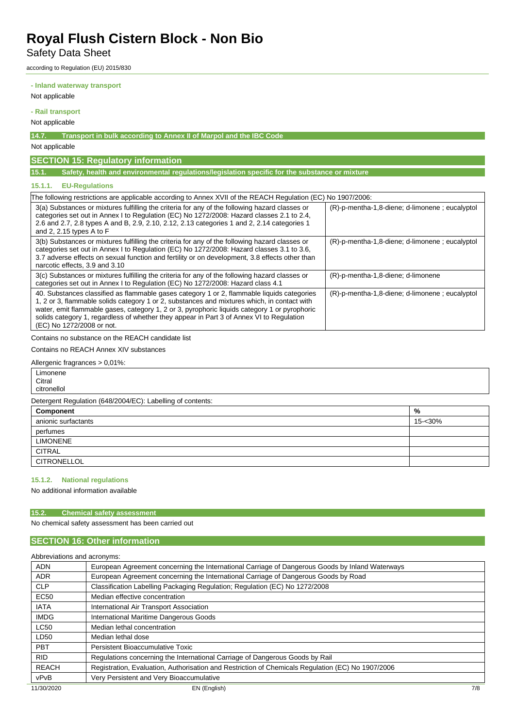Safety Data Sheet

according to Regulation (EU) 2015/830

**- Inland waterway transport**

Not applicable

**- Rail transport**

Not applicable

**14.7. Transport in bulk according to Annex II of Marpol and the IBC Code**

Not applicable

# **SECTION 15: Regulatory information**

**15.1. Safety, health and environmental regulations/legislation specific for the substance or mixture**

## **15.1.1. EU-Regulations**

| The following restrictions are applicable according to Annex XVII of the REACH Regulation (EC) No 1907/2006:                                                                                                                                                                                                                                                                                                       |                                                   |  |
|--------------------------------------------------------------------------------------------------------------------------------------------------------------------------------------------------------------------------------------------------------------------------------------------------------------------------------------------------------------------------------------------------------------------|---------------------------------------------------|--|
| 3(a) Substances or mixtures fulfilling the criteria for any of the following hazard classes or<br>categories set out in Annex I to Regulation (EC) No 1272/2008: Hazard classes 2.1 to 2.4,<br>2.6 and 2.7, 2.8 types A and B, 2.9, 2.10, 2.12, 2.13 categories 1 and 2, 2.14 categories 1<br>and 2, 2.15 types A to F                                                                                             | $(R)$ -p-mentha-1,8-diene; d-limonene; eucalyptol |  |
| 3(b) Substances or mixtures fulfilling the criteria for any of the following hazard classes or<br>categories set out in Annex I to Regulation (EC) No 1272/2008: Hazard classes 3.1 to 3.6.<br>3.7 adverse effects on sexual function and fertility or on development, 3.8 effects other than<br>narcotic effects, 3.9 and 3.10                                                                                    | $(R)$ -p-mentha-1,8-diene; d-limonene; eucalyptol |  |
| 3(c) Substances or mixtures fulfilling the criteria for any of the following hazard classes or<br>categories set out in Annex I to Regulation (EC) No 1272/2008: Hazard class 4.1                                                                                                                                                                                                                                  | $(R)$ -p-mentha-1,8-diene; d-limonene             |  |
| 40. Substances classified as flammable gases category 1 or 2, flammable liquids categories<br>1, 2 or 3, flammable solids category 1 or 2, substances and mixtures which, in contact with<br>water, emit flammable gases, category 1, 2 or 3, pyrophoric liquids category 1 or pyrophoric<br>solids category 1, regardless of whether they appear in Part 3 of Annex VI to Regulation<br>(EC) No 1272/2008 or not. | $(R)$ -p-mentha-1,8-diene; d-limonene; eucalyptol |  |

Contains no substance on the REACH candidate list

Contains no REACH Annex XIV substances

Allergenic fragrances > 0,01%:

Limonene **Citral** citronellol

Detergent Regulation (648/2004/EC): Labelling of contents:

| Component           | %       |
|---------------------|---------|
| anionic surfactants | 15-<30% |
| perfumes            |         |
| <b>LIMONENE</b>     |         |
| <b>CITRAL</b>       |         |
| CITRONELLOL         |         |

#### **15.1.2. National regulations**

No additional information available

### **15.2. Chemical safety assessment**

No chemical safety assessment has been carried out

## **SECTION 16: Other information**

Abbreviations and acronyms:

| <b>ADN</b>   | European Agreement concerning the International Carriage of Dangerous Goods by Inland Waterways   |     |
|--------------|---------------------------------------------------------------------------------------------------|-----|
| <b>ADR</b>   | European Agreement concerning the International Carriage of Dangerous Goods by Road               |     |
| <b>CLP</b>   | Classification Labelling Packaging Regulation; Regulation (EC) No 1272/2008                       |     |
| <b>EC50</b>  | Median effective concentration                                                                    |     |
| <b>IATA</b>  | International Air Transport Association                                                           |     |
| <b>IMDG</b>  | International Maritime Dangerous Goods                                                            |     |
| <b>LC50</b>  | Median lethal concentration                                                                       |     |
| LD50         | Median lethal dose                                                                                |     |
| <b>PBT</b>   | Persistent Bioaccumulative Toxic                                                                  |     |
| <b>RID</b>   | Regulations concerning the International Carriage of Dangerous Goods by Rail                      |     |
| <b>REACH</b> | Registration, Evaluation, Authorisation and Restriction of Chemicals Regulation (EC) No 1907/2006 |     |
| vPvB         | Very Persistent and Very Bioaccumulative                                                          |     |
| 11/30/2020   | EN (English)                                                                                      | 7/8 |